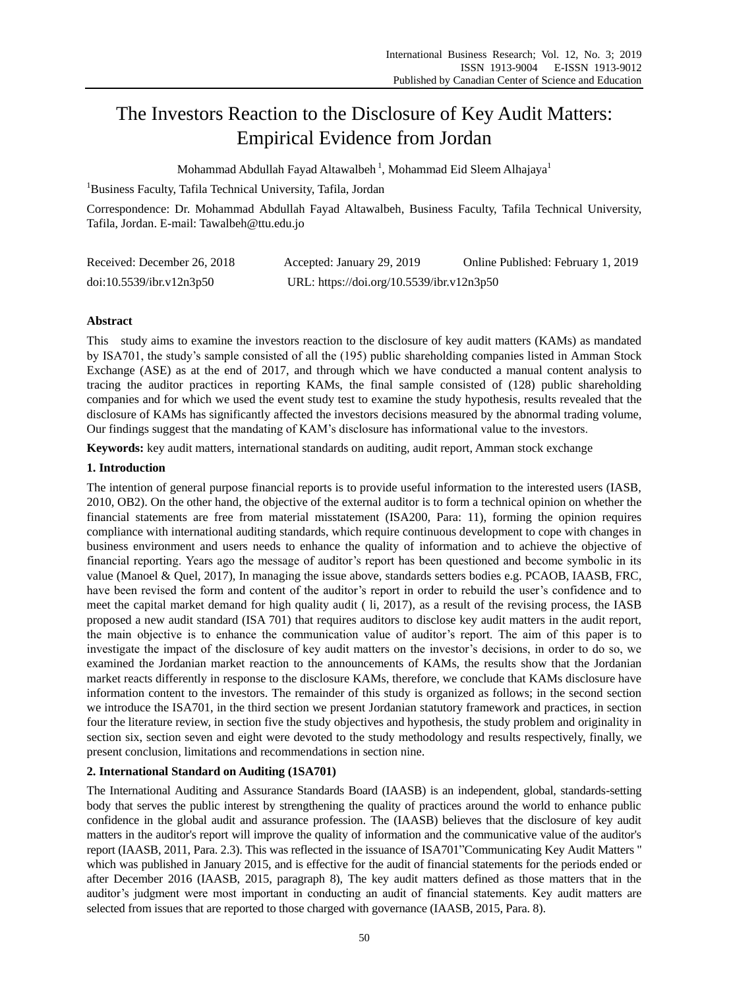# The Investors Reaction to the Disclosure of Key Audit Matters: Empirical Evidence from Jordan

Mohammad Abdullah Fayad Altawalbeh $^{\,\rm l}$ , Mohammad Eid Sleem Alhajaya $^{\rm l}$ 

<sup>1</sup>Business Faculty, Tafila Technical University, Tafila, Jordan

Correspondence: Dr. Mohammad Abdullah Fayad Altawalbeh, Business Faculty, Tafila Technical University, Tafila, Jordan. E-mail: Tawalbeh@ttu.edu.jo

| Received: December 26, 2018 | Accepted: January 29, 2019                | Online Published: February 1, 2019 |
|-----------------------------|-------------------------------------------|------------------------------------|
| doi:10.5539/ibr.v12n3p50    | URL: https://doi.org/10.5539/ibr.v12n3p50 |                                    |

# **Abstract**

This study aims to examine the investors reaction to the disclosure of key audit matters (KAMs) as mandated by ISA701, the study's sample consisted of all the (195) public shareholding companies listed in Amman Stock Exchange (ASE) as at the end of 2017, and through which we have conducted a manual content analysis to tracing the auditor practices in reporting KAMs, the final sample consisted of (128) public shareholding companies and for which we used the event study test to examine the study hypothesis, results revealed that the disclosure of KAMs has significantly affected the investors decisions measured by the abnormal trading volume, Our findings suggest that the mandating of KAM's disclosure has informational value to the investors.

**Keywords:** key audit matters, international standards on auditing, audit report, Amman stock exchange

# **1. Introduction**

The intention of general purpose financial reports is to provide useful information to the interested users (IASB, 2010, OB2). On the other hand, the objective of the external auditor is to form a technical opinion on whether the financial statements are free from material misstatement (ISA200, Para: 11), forming the opinion requires compliance with international auditing standards, which require continuous development to cope with changes in business environment and users needs to enhance the quality of information and to achieve the objective of financial reporting. Years ago the message of auditor's report has been questioned and become symbolic in its value (Manoel & Quel, 2017), In managing the issue above, standards setters bodies e.g. PCAOB, IAASB, FRC, have been revised the form and content of the auditor's report in order to rebuild the user's confidence and to meet the capital market demand for high quality audit ( li, 2017), as a result of the revising process, the IASB proposed a new audit standard (ISA 701) that requires auditors to disclose key audit matters in the audit report, the main objective is to enhance the communication value of auditor's report. The aim of this paper is to investigate the impact of the disclosure of key audit matters on the investor's decisions, in order to do so, we examined the Jordanian market reaction to the announcements of KAMs, the results show that the Jordanian market reacts differently in response to the disclosure KAMs, therefore, we conclude that KAMs disclosure have information content to the investors. The remainder of this study is organized as follows; in the second section we introduce the ISA701, in the third section we present Jordanian statutory framework and practices, in section four the literature review, in section five the study objectives and hypothesis, the study problem and originality in section six, section seven and eight were devoted to the study methodology and results respectively, finally, we present conclusion, limitations and recommendations in section nine.

# **2. International Standard on Auditing (1SA701)**

The International Auditing and Assurance Standards Board (IAASB) is an independent, global, standards-setting body that serves the public interest by strengthening the quality of practices around the world to enhance public confidence in the global audit and assurance profession. The (IAASB) believes that the disclosure of key audit matters in the auditor's report will improve the quality of information and the communicative value of the auditor's report (IAASB, 2011, Para. 2.3). This was reflected in the issuance of ISA701"Communicating Key Audit Matters " which was published in January 2015, and is effective for the audit of financial statements for the periods ended or after December 2016 (IAASB, 2015, paragraph 8), The key audit matters defined as those matters that in the auditor's judgment were most important in conducting an audit of financial statements. Key audit matters are selected from issues that are reported to those charged with governance (IAASB, 2015, Para. 8).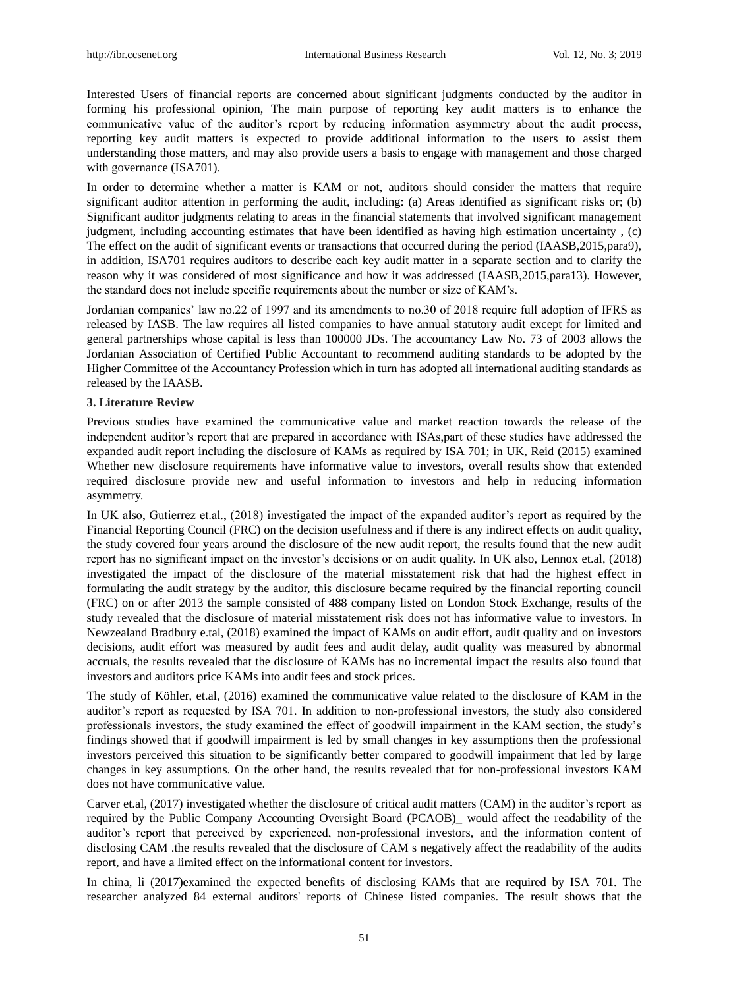Interested Users of financial reports are concerned about significant judgments conducted by the auditor in forming his professional opinion, The main purpose of reporting key audit matters is to enhance the communicative value of the auditor's report by reducing information asymmetry about the audit process, reporting key audit matters is expected to provide additional information to the users to assist them understanding those matters, and may also provide users a basis to engage with management and those charged with governance (ISA701).

In order to determine whether a matter is KAM or not, auditors should consider the matters that require significant auditor attention in performing the audit, including: (a) Areas identified as significant risks or; (b) Significant auditor judgments relating to areas in the financial statements that involved significant management judgment, including accounting estimates that have been identified as having high estimation uncertainty , (c) The effect on the audit of significant events or transactions that occurred during the period (IAASB,2015,para9), in addition, ISA701 requires auditors to describe each key audit matter in a separate section and to clarify the reason why it was considered of most significance and how it was addressed (IAASB,2015,para13). However, the standard does not include specific requirements about the number or size of KAM's.

Jordanian companies' law no.22 of 1997 and its amendments to no.30 of 2018 require full adoption of IFRS as released by IASB. The law requires all listed companies to have annual statutory audit except for limited and general partnerships whose capital is less than 100000 JDs. The accountancy Law No. 73 of 2003 allows the Jordanian Association of Certified Public Accountant to recommend auditing standards to be adopted by the Higher Committee of the Accountancy Profession which in turn has adopted all international auditing standards as released by the IAASB.

# **3. Literature Review**

Previous studies have examined the communicative value and market reaction towards the release of the independent auditor's report that are prepared in accordance with ISAs,part of these studies have addressed the expanded audit report including the disclosure of KAMs as required by ISA 701; in UK, Reid (2015) examined Whether new disclosure requirements have informative value to investors, overall results show that extended required disclosure provide new and useful information to investors and help in reducing information asymmetry.

In UK also, Gutierrez et.al., (2018) investigated the impact of the expanded auditor's report as required by the Financial Reporting Council (FRC) on the decision usefulness and if there is any indirect effects on audit quality, the study covered four years around the disclosure of the new audit report, the results found that the new audit report has no significant impact on the investor's decisions or on audit quality. In UK also, Lennox et.al, (2018) investigated the impact of the disclosure of the material misstatement risk that had the highest effect in formulating the audit strategy by the auditor, this disclosure became required by the financial reporting council (FRC) on or after 2013 the sample consisted of 488 company listed on London Stock Exchange, results of the study revealed that the disclosure of material misstatement risk does not has informative value to investors. In Newzealand Bradbury e.tal, (2018) examined the impact of KAMs on audit effort, audit quality and on investors decisions, audit effort was measured by audit fees and audit delay, audit quality was measured by abnormal accruals, the results revealed that the disclosure of KAMs has no incremental impact the results also found that investors and auditors price KAMs into audit fees and stock prices.

The study of Köhler, et.al, (2016) examined the communicative value related to the disclosure of KAM in the auditor's report as requested by ISA 701. In addition to non-professional investors, the study also considered professionals investors, the study examined the effect of goodwill impairment in the KAM section, the study's findings showed that if goodwill impairment is led by small changes in key assumptions then the professional investors perceived this situation to be significantly better compared to goodwill impairment that led by large changes in key assumptions. On the other hand, the results revealed that for non-professional investors KAM does not have communicative value.

Carver et.al, (2017) investigated whether the disclosure of critical audit matters (CAM) in the auditor's report as required by the Public Company Accounting Oversight Board (PCAOB)\_ would affect the readability of the auditor's report that perceived by experienced, non-professional investors, and the information content of disclosing CAM .the results revealed that the disclosure of CAM s negatively affect the readability of the audits report, and have a limited effect on the informational content for investors.

In china, li (2017)examined the expected benefits of disclosing KAMs that are required by ISA 701. The researcher analyzed 84 external auditors' reports of Chinese listed companies. The result shows that the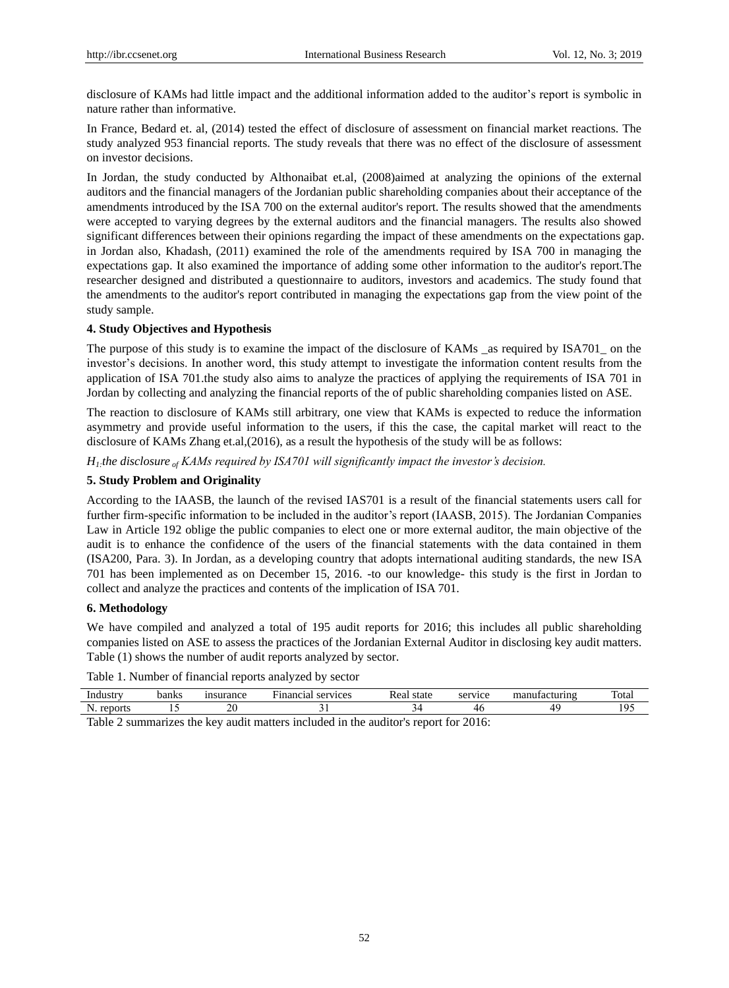disclosure of KAMs had little impact and the additional information added to the auditor's report is symbolic in nature rather than informative.

In France, Bedard et. al, (2014) tested the effect of disclosure of assessment on financial market reactions. The study analyzed 953 financial reports. The study reveals that there was no effect of the disclosure of assessment on investor decisions.

In Jordan, the study conducted by Althonaibat et.al, (2008)aimed at analyzing the opinions of the external auditors and the financial managers of the Jordanian public shareholding companies about their acceptance of the amendments introduced by the ISA 700 on the external auditor's report. The results showed that the amendments were accepted to varying degrees by the external auditors and the financial managers. The results also showed significant differences between their opinions regarding the impact of these amendments on the expectations gap. in Jordan also, Khadash, (2011) examined the role of the amendments required by ISA 700 in managing the expectations gap. It also examined the importance of adding some other information to the auditor's report.The researcher designed and distributed a questionnaire to auditors, investors and academics. The study found that the amendments to the auditor's report contributed in managing the expectations gap from the view point of the study sample.

# **4. Study Objectives and Hypothesis**

The purpose of this study is to examine the impact of the disclosure of KAMs as required by ISA701 on the investor's decisions. In another word, this study attempt to investigate the information content results from the application of ISA 701.the study also aims to analyze the practices of applying the requirements of ISA 701 in Jordan by collecting and analyzing the financial reports of the of public shareholding companies listed on ASE.

The reaction to disclosure of KAMs still arbitrary, one view that KAMs is expected to reduce the information asymmetry and provide useful information to the users, if this the case, the capital market will react to the disclosure of KAMs Zhang et.al,(2016), as a result the hypothesis of the study will be as follows:

*H1:the disclosure of KAMs required by ISA701 will significantly impact the investor's decision.*

# **5. Study Problem and Originality**

According to the IAASB, the launch of the revised IAS701 is a result of the financial statements users call for further firm-specific information to be included in the auditor's report (IAASB, 2015). The Jordanian Companies Law in Article 192 oblige the public companies to elect one or more external auditor, the main objective of the audit is to enhance the confidence of the users of the financial statements with the data contained in them (ISA200, Para. 3). In Jordan, as a developing country that adopts international auditing standards, the new ISA 701 has been implemented as on December 15, 2016. -to our knowledge- this study is the first in Jordan to collect and analyze the practices and contents of the implication of ISA 701.

# **6. Methodology**

We have compiled and analyzed a total of 195 audit reports for 2016; this includes all public shareholding companies listed on ASE to assess the practices of the Jordanian External Auditor in disclosing key audit matters. Table (1) shows the number of audit reports analyzed by sector.

Table 1. Number of financial reports analyzed by sector

| Industr  | banks | $1$ ronco<br>ян | _<br>services<br>ыа | state<br>_∩∩<br>rea | CPTU1CP<br>™ice<br>ີ | rrc<br>. | $\sim$<br>'otal      |
|----------|-------|-----------------|---------------------|---------------------|----------------------|----------|----------------------|
| - -<br>N |       | ∼               |                     |                     | .                    |          | $\sim$ $\sim$ $\sim$ |

Table 2 summarizes the key audit matters included in the auditor's report for 2016: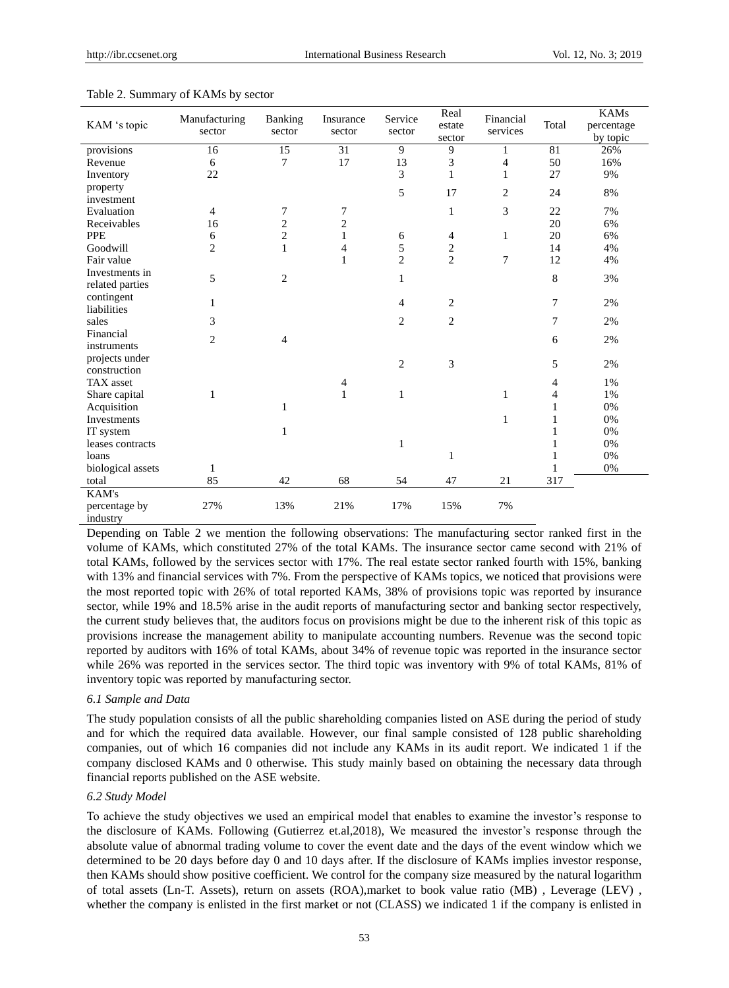|                    |                         |                          | Insurance    | Service        | Real           | Financial      |                | <b>KAMs</b> |
|--------------------|-------------------------|--------------------------|--------------|----------------|----------------|----------------|----------------|-------------|
| KAM 's topic       | Manufacturing<br>sector | <b>Banking</b><br>sector | sector       | sector         | estate         | services       | Total          | percentage  |
|                    |                         |                          |              |                | sector         |                |                | by topic    |
| provisions         | 16                      | $\overline{15}$          | 31           | 9              | 9              | 1              | 81             | 26%         |
| Revenue            | 6                       | 7                        | 17           | 13             | 3              | $\overline{4}$ | 50             | 16%         |
| Inventory          | 22                      |                          |              | 3              | $\mathbf{1}$   | $\mathbf{1}$   | 27             | 9%          |
| property           |                         |                          |              | 5              | 17             | 2              | 24             | 8%          |
| investment         |                         |                          |              |                |                |                |                |             |
| Evaluation         | $\overline{4}$          | 7                        | 7            |                | 1              | 3              | 22             | 7%          |
| Receivables        | 16                      | $\overline{c}$           | 2            |                |                |                | 20             | 6%          |
| <b>PPE</b>         | 6                       | $\overline{c}$           | $\mathbf{1}$ | 6              | 4              | 1              | 20             | 6%          |
| Goodwill           | $\overline{c}$          | $\mathbf{1}$             | 4            | 5              | $\sqrt{2}$     |                | 14             | 4%          |
| Fair value         |                         |                          | $\mathbf{1}$ | $\overline{2}$ | $\overline{2}$ | 7              | 12             | 4%          |
| Investments in     | 5                       | $\overline{c}$           |              | $\mathbf{1}$   |                |                | 8              | 3%          |
| related parties    |                         |                          |              |                |                |                |                |             |
| contingent         | 1                       |                          |              | 4              | $\overline{2}$ |                | 7              | 2%          |
| liabilities        |                         |                          |              |                |                |                |                |             |
| sales              | 3                       |                          |              | 2              | $\overline{2}$ |                | 7              | 2%          |
| Financial          | $\overline{c}$          | $\overline{4}$           |              |                |                |                | 6              | 2%          |
| instruments        |                         |                          |              |                |                |                |                |             |
| projects under     |                         |                          |              | $\mathfrak{2}$ | 3              |                | 5              | 2%          |
| construction       |                         |                          |              |                |                |                |                |             |
| TAX asset          |                         |                          | 4            |                |                |                | 4              | 1%          |
| Share capital      | 1                       |                          | 1            | 1              |                | 1              | $\overline{4}$ | 1%          |
| Acquisition        |                         | $\mathbf{1}$             |              |                |                |                | 1              | 0%          |
| <b>Investments</b> |                         |                          |              |                |                | 1              | 1              | 0%          |
| IT system          |                         | 1                        |              |                |                |                | 1              | 0%          |
| leases contracts   |                         |                          |              | $\mathbf{1}$   |                |                | 1              | 0%          |
| loans              |                         |                          |              |                | 1              |                | 1              | 0%          |
| biological assets  | 1                       |                          |              |                |                |                | 1              | 0%          |
| total              | 85                      | 42                       | 68           | 54             | 47             | 21             | 317            |             |
| KAM's              |                         |                          |              |                |                |                |                |             |
| percentage by      | 27%                     | 13%                      | 21%          | 17%            | 15%            | 7%             |                |             |
| industry           |                         |                          |              |                |                |                |                |             |

#### Table 2. Summary of KAMs by sector

Depending on Table 2 we mention the following observations: The manufacturing sector ranked first in the volume of KAMs, which constituted 27% of the total KAMs. The insurance sector came second with 21% of total KAMs, followed by the services sector with 17%. The real estate sector ranked fourth with 15%, banking with 13% and financial services with 7%. From the perspective of KAMs topics, we noticed that provisions were the most reported topic with 26% of total reported KAMs, 38% of provisions topic was reported by insurance sector, while 19% and 18.5% arise in the audit reports of manufacturing sector and banking sector respectively, the current study believes that, the auditors focus on provisions might be due to the inherent risk of this topic as provisions increase the management ability to manipulate accounting numbers. Revenue was the second topic reported by auditors with 16% of total KAMs, about 34% of revenue topic was reported in the insurance sector while 26% was reported in the services sector. The third topic was inventory with 9% of total KAMs, 81% of inventory topic was reported by manufacturing sector.

## *6.1 Sample and Data*

The study population consists of all the public shareholding companies listed on ASE during the period of study and for which the required data available. However, our final sample consisted of 128 public shareholding companies, out of which 16 companies did not include any KAMs in its audit report. We indicated 1 if the company disclosed KAMs and 0 otherwise. This study mainly based on obtaining the necessary data through financial reports published on the ASE website.

## *6.2 Study Model*

To achieve the study objectives we used an empirical model that enables to examine the investor's response to the disclosure of KAMs. Following (Gutierrez et.al,2018), We measured the investor's response through the absolute value of abnormal trading volume to cover the event date and the days of the event window which we determined to be 20 days before day 0 and 10 days after. If the disclosure of KAMs implies investor response, then KAMs should show positive coefficient. We control for the company size measured by the natural logarithm of total assets (Ln-T. Assets), return on assets (ROA),market to book value ratio (MB) , Leverage (LEV) , whether the company is enlisted in the first market or not (CLASS) we indicated 1 if the company is enlisted in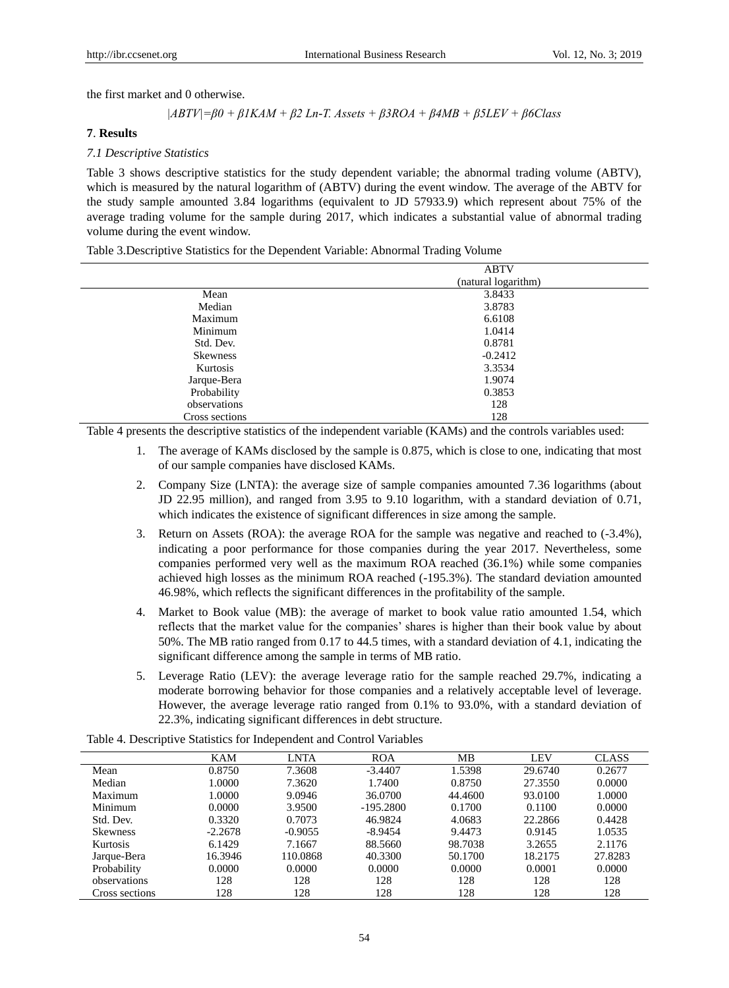the first market and 0 otherwise.

$$
|ABTV| = \beta 0 + \beta 1KAM + \beta 2 Ln-T. Assets + \beta 3ROA + \beta 4MB + \beta 5LEV + \beta 6Class
$$

## **7**. **Results**

# *7.1 Descriptive Statistics*

Table 3 shows descriptive statistics for the study dependent variable; the abnormal trading volume (ABTV), which is measured by the natural logarithm of (ABTV) during the event window. The average of the ABTV for the study sample amounted 3.84 logarithms (equivalent to JD 57933.9) which represent about 75% of the average trading volume for the sample during 2017, which indicates a substantial value of abnormal trading volume during the event window.

Table 3.Descriptive Statistics for the Dependent Variable: Abnormal Trading Volume

|                 | <b>ABTV</b>         |  |
|-----------------|---------------------|--|
|                 | (natural logarithm) |  |
| Mean            | 3.8433              |  |
| Median          | 3.8783              |  |
| Maximum         | 6.6108              |  |
| Minimum         | 1.0414              |  |
| Std. Dev.       | 0.8781              |  |
| <b>Skewness</b> | $-0.2412$           |  |
| Kurtosis        | 3.3534              |  |
| Jarque-Bera     | 1.9074              |  |
| Probability     | 0.3853              |  |
| observations    | 128                 |  |
| Cross sections  | 128                 |  |

Table 4 presents the descriptive statistics of the independent variable (KAMs) and the controls variables used:

- 1. The average of KAMs disclosed by the sample is 0.875, which is close to one, indicating that most of our sample companies have disclosed KAMs.
- 2. Company Size (LNTA): the average size of sample companies amounted 7.36 logarithms (about JD 22.95 million), and ranged from 3.95 to 9.10 logarithm, with a standard deviation of 0.71, which indicates the existence of significant differences in size among the sample.
- 3. Return on Assets (ROA): the average ROA for the sample was negative and reached to (-3.4%), indicating a poor performance for those companies during the year 2017. Nevertheless, some companies performed very well as the maximum ROA reached (36.1%) while some companies achieved high losses as the minimum ROA reached (-195.3%). The standard deviation amounted 46.98%, which reflects the significant differences in the profitability of the sample.
- 4. Market to Book value (MB): the average of market to book value ratio amounted 1.54, which reflects that the market value for the companies' shares is higher than their book value by about 50%. The MB ratio ranged from 0.17 to 44.5 times, with a standard deviation of 4.1, indicating the significant difference among the sample in terms of MB ratio.
- 5. Leverage Ratio (LEV): the average leverage ratio for the sample reached 29.7%, indicating a moderate borrowing behavior for those companies and a relatively acceptable level of leverage. However, the average leverage ratio ranged from 0.1% to 93.0%, with a standard deviation of 22.3%, indicating significant differences in debt structure.

|                 | KAM       | LNTA      | <b>ROA</b>  | МB      | LEV     | <b>CLASS</b> |
|-----------------|-----------|-----------|-------------|---------|---------|--------------|
| Mean            | 0.8750    | 7.3608    | $-3.4407$   | 1.5398  | 29.6740 | 0.2677       |
| Median          | 1.0000    | 7.3620    | 1.7400      | 0.8750  | 27.3550 | 0.0000       |
| Maximum         | 1.0000    | 9.0946    | 36.0700     | 44.4600 | 93.0100 | 1.0000       |
| Minimum         | 0.0000    | 3.9500    | $-195.2800$ | 0.1700  | 0.1100  | 0.0000       |
| Std. Dev.       | 0.3320    | 0.7073    | 46.9824     | 4.0683  | 22.2866 | 0.4428       |
| <b>Skewness</b> | $-2.2678$ | $-0.9055$ | $-8.9454$   | 9.4473  | 0.9145  | 1.0535       |
| Kurtosis        | 6.1429    | 7.1667    | 88.5660     | 98.7038 | 3.2655  | 2.1176       |
| Jarque-Bera     | 16.3946   | 110.0868  | 40.3300     | 50.1700 | 18.2175 | 27.8283      |
| Probability     | 0.0000    | 0.0000    | 0.0000      | 0.0000  | 0.0001  | 0.0000       |
| observations    | 128       | 128       | 128         | 128     | 128     | 128          |
| Cross sections  | 128       | 128       | 128         | 128     | 128     | 128          |

Table 4. Descriptive Statistics for Independent and Control Variables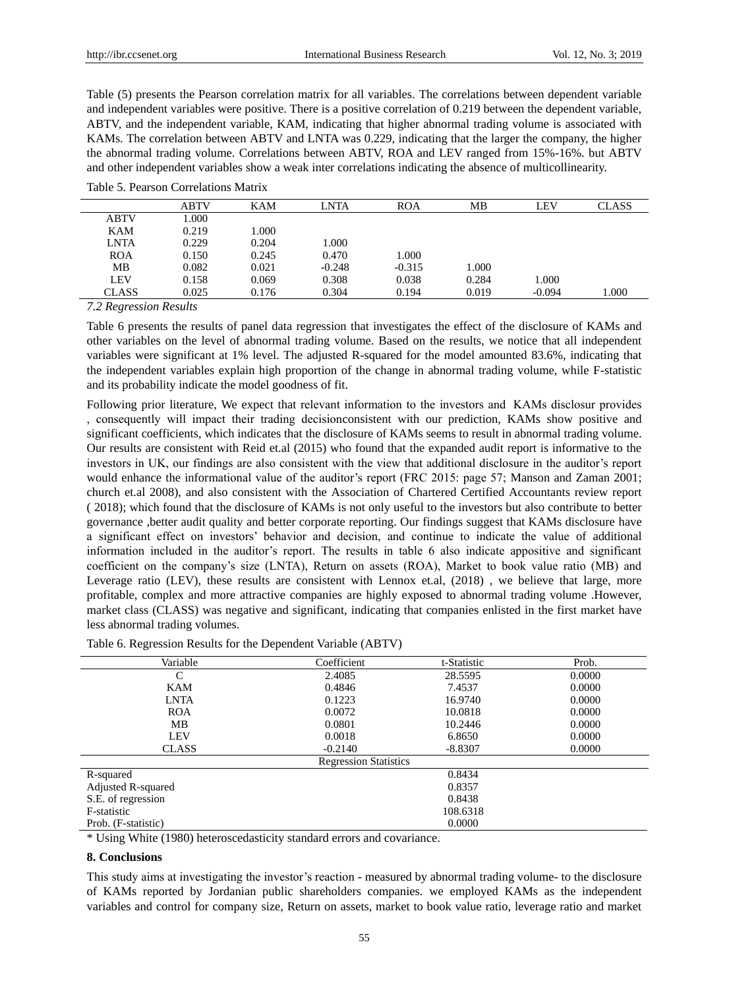Table (5) presents the Pearson correlation matrix for all variables. The correlations between dependent variable and independent variables were positive. There is a positive correlation of 0.219 between the dependent variable, ABTV, and the independent variable, KAM, indicating that higher abnormal trading volume is associated with KAMs. The correlation between ABTV and LNTA was 0.229, indicating that the larger the company, the higher the abnormal trading volume. Correlations between ABTV, ROA and LEV ranged from 15%-16%. but ABTV and other independent variables show a weak inter correlations indicating the absence of multicollinearity.

|              | ABTV  | <b>KAM</b> | LNTA     | <b>ROA</b> | MВ    | LEV      | <b>CLASS</b> |
|--------------|-------|------------|----------|------------|-------|----------|--------------|
| <b>ABTV</b>  | 1.000 |            |          |            |       |          |              |
| KAM          | 0.219 | 1.000      |          |            |       |          |              |
| LNTA         | 0.229 | 0.204      | 1.000    |            |       |          |              |
| <b>ROA</b>   | 0.150 | 0.245      | 0.470    | 1.000      |       |          |              |
| MB           | 0.082 | 0.021      | $-0.248$ | $-0.315$   | 1.000 |          |              |
| <b>LEV</b>   | 0.158 | 0.069      | 0.308    | 0.038      | 0.284 | 1.000    |              |
| <b>CLASS</b> | 0.025 | 0.176      | 0.304    | 0.194      | 0.019 | $-0.094$ | 1.000        |

Table 5. Pearson Correlations Matrix

*7.2 Regression Results*

Table 6 presents the results of panel data regression that investigates the effect of the disclosure of KAMs and other variables on the level of abnormal trading volume. Based on the results, we notice that all independent variables were significant at 1% level. The adjusted R-squared for the model amounted 83.6%, indicating that the independent variables explain high proportion of the change in abnormal trading volume, while F-statistic and its probability indicate the model goodness of fit.

Following prior literature, We expect that relevant information to the investors and KAMs disclosur provides , consequently will impact their trading decisionconsistent with our prediction, KAMs show positive and significant coefficients, which indicates that the disclosure of KAMs seems to result in abnormal trading volume. Our results are consistent with Reid et.al (2015) who found that the expanded audit report is informative to the investors in UK, our findings are also consistent with the view that additional disclosure in the auditor's report would enhance the informational value of the auditor's report (FRC 2015: page 57; Manson and Zaman 2001; church et.al 2008), and also consistent with the Association of Chartered Certified Accountants review report ( 2018); which found that the disclosure of KAMs is not only useful to the investors but also contribute to better governance ,better audit quality and better corporate reporting. Our findings suggest that KAMs disclosure have a significant effect on investors' behavior and decision, and continue to indicate the value of additional information included in the auditor's report. The results in table 6 also indicate appositive and significant coefficient on the company's size (LNTA), Return on assets (ROA), Market to book value ratio (MB) and Leverage ratio (LEV), these results are consistent with Lennox et.al, (2018) , we believe that large, more profitable, complex and more attractive companies are highly exposed to abnormal trading volume .However, market class (CLASS) was negative and significant, indicating that companies enlisted in the first market have less abnormal trading volumes.

| Variable            | Coefficient                  | t-Statistic | Prob.  |  |  |  |
|---------------------|------------------------------|-------------|--------|--|--|--|
| C                   | 2.4085                       | 28.5595     | 0.0000 |  |  |  |
| <b>KAM</b>          | 0.4846                       | 7.4537      | 0.0000 |  |  |  |
| <b>LNTA</b>         | 0.1223                       | 16.9740     | 0.0000 |  |  |  |
| <b>ROA</b>          | 0.0072                       | 10.0818     | 0.0000 |  |  |  |
| MB                  | 0.0801                       | 10.2446     | 0.0000 |  |  |  |
| <b>LEV</b>          | 0.0018                       | 6.8650      | 0.0000 |  |  |  |
| <b>CLASS</b>        | $-0.2140$                    | $-8.8307$   | 0.0000 |  |  |  |
|                     | <b>Regression Statistics</b> |             |        |  |  |  |
| R-squared           |                              | 0.8434      |        |  |  |  |
| Adjusted R-squared  |                              | 0.8357      |        |  |  |  |
| S.E. of regression  |                              | 0.8438      |        |  |  |  |
| F-statistic         | 108.6318                     |             |        |  |  |  |
| Prob. (F-statistic) |                              | 0.0000      |        |  |  |  |

| Table 6. Regression Results for the Dependent Variable (ABTV) |  |  |
|---------------------------------------------------------------|--|--|
|                                                               |  |  |

\* Using White (1980) heteroscedasticity standard errors and covariance.

#### **8. Conclusions**

This study aims at investigating the investor's reaction - measured by abnormal trading volume- to the disclosure of KAMs reported by Jordanian public shareholders companies. we employed KAMs as the independent variables and control for company size, Return on assets, market to book value ratio, leverage ratio and market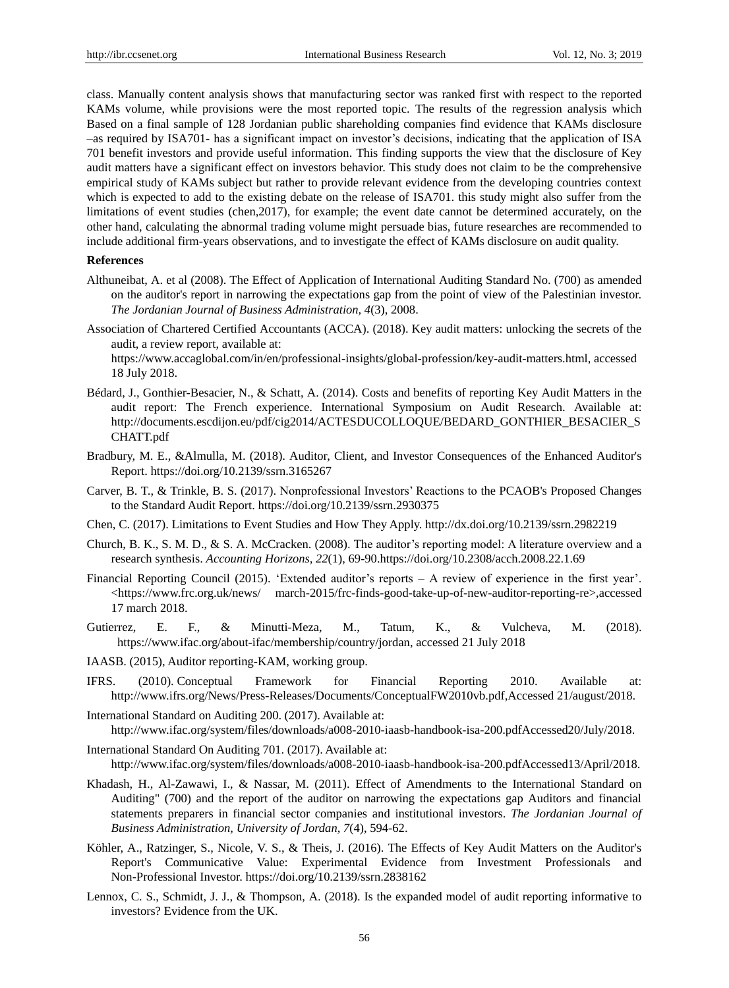class. Manually content analysis shows that manufacturing sector was ranked first with respect to the reported KAMs volume, while provisions were the most reported topic. The results of the regression analysis which Based on a final sample of 128 Jordanian public shareholding companies find evidence that KAMs disclosure –as required by ISA701- has a significant impact on investor's decisions, indicating that the application of ISA 701 benefit investors and provide useful information. This finding supports the view that the disclosure of Key audit matters have a significant effect on investors behavior. This study does not claim to be the comprehensive empirical study of KAMs subject but rather to provide relevant evidence from the developing countries context which is expected to add to the existing debate on the release of ISA701. this study might also suffer from the limitations of event studies (chen,2017), for example; the event date cannot be determined accurately, on the other hand, calculating the abnormal trading volume might persuade bias, future researches are recommended to include additional firm-years observations, and to investigate the effect of KAMs disclosure on audit quality.

#### **References**

- Althuneibat, A. et al (2008). The Effect of Application of International Auditing Standard No. (700) as amended on the auditor's report in narrowing the expectations gap from the point of view of the Palestinian investor. *The Jordanian Journal of Business Administration, 4*(3), 2008.
- Association of Chartered Certified Accountants (ACCA). (2018). Key audit matters: unlocking the secrets of the audit, a review report, available at:

https://www.accaglobal.com/in/en/professional-insights/global-profession/key-audit-matters.html, accessed 18 July 2018.

- Bédard, J., Gonthier-Besacier, N., & Schatt, A. (2014). Costs and benefits of reporting Key Audit Matters in the audit report: The French experience. International Symposium on Audit Research. Available at: http://documents.escdijon.eu/pdf/cig2014/ACTESDUCOLLOQUE/BEDARD\_GONTHIER\_BESACIER\_S CHATT.pdf
- Bradbury, M. E., &Almulla, M. (2018). Auditor, Client, and Investor Consequences of the Enhanced Auditor's Report. https://doi.org/10.2139/ssrn.3165267
- Carver, B. T., & Trinkle, B. S. (2017). Nonprofessional Investors' Reactions to the PCAOB's Proposed Changes to the Standard Audit Report. https://doi.org/10.2139/ssrn.2930375
- Chen, C. (2017). Limitations to Event Studies and How They Apply. [http://dx.doi.org/10.2139/ssrn.2982219](https://dx.doi.org/10.2139/ssrn.2982219)
- Church, B. K., S. M. D., & S. A. McCracken. (2008). The auditor's reporting model: A literature overview and a research synthesis. *Accounting Horizons, 22*(1), 69-90.https://doi.org/10.2308/acch.2008.22.1.69
- Financial Reporting Council (2015). 'Extended auditor's reports A review of experience in the first year'. <https://www.frc.org.uk/news/ march-2015/frc-finds-good-take-up-of-new-auditor-reporting-re>,accessed 17 march 2018.
- Gutierrez, E. F., & Minutti-Meza, M., Tatum, K., & Vulcheva, M. (2018). https://www.ifac.org/about-ifac/membership/country/jordan, accessed 21 July 2018
- IAASB. (2015), Auditor reporting-KAM, working group.
- IFRS. (2010). Conceptual Framework for Financial Reporting 2010. Available at: http://www.ifrs.org/News/Press-Releases/Documents/ConceptualFW2010vb.pdf,Accessed 21/august/2018.
- International Standard on Auditing 200. (2017). Available at: http://www.ifac.org/system/files/downloads/a008-2010-iaasb-handbook-isa-200.pdfAccessed20/July/2018.
- International Standard On Auditing 701. (2017). Available at: http://www.ifac.org/system/files/downloads/a008-2010-iaasb-handbook-isa-200.pdfAccessed13/April/2018.
- Khadash, H., Al-Zawawi, I., & Nassar, M. (2011). Effect of Amendments to the International Standard on Auditing" (700) and the report of the auditor on narrowing the expectations gap Auditors and financial statements preparers in financial sector companies and institutional investors. *The Jordanian Journal of Business Administration, University of Jordan, 7*(4), 594-62.
- Köhler, A., Ratzinger, S., Nicole, V. S., & Theis, J. (2016). The Effects of Key Audit Matters on the Auditor's Report's Communicative Value: Experimental Evidence from Investment Professionals and Non-Professional Investor. https://doi.org/10.2139/ssrn.2838162
- Lennox, C. S., Schmidt, J. J., & Thompson, A. (2018). Is the expanded model of audit reporting informative to investors? Evidence from the UK.